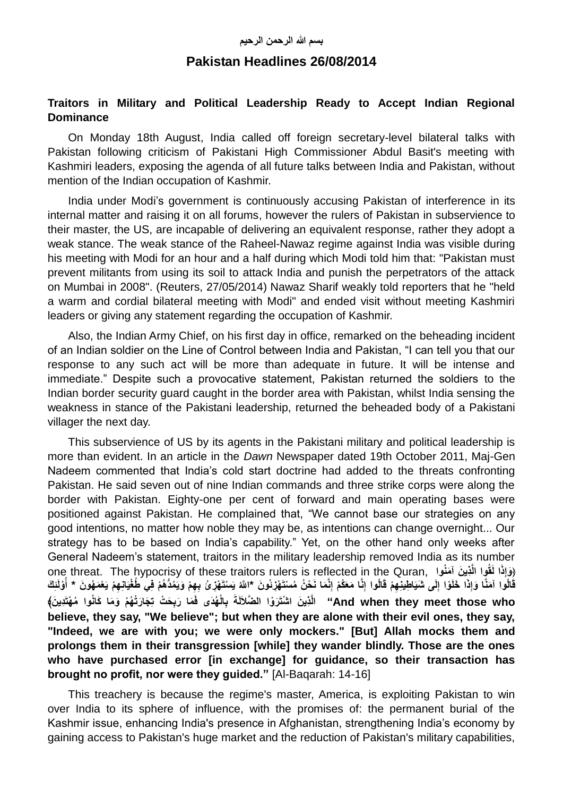# **Pakistan Headlines 26/08/2014**

## **Traitors in Military and Political Leadership Ready to Accept Indian Regional Dominance**

On Monday 18th August, India called off foreign secretary-level bilateral talks with Pakistan following criticism of Pakistani High Commissioner Abdul Basit's meeting with Kashmiri leaders, exposing the agenda of all future talks between India and Pakistan, without mention of the Indian occupation of Kashmir.

India under Modi's government is continuously accusing Pakistan of interference in its internal matter and raising it on all forums, however the rulers of Pakistan in subservience to their master, the US, are incapable of delivering an equivalent response, rather they adopt a weak stance. The weak stance of the Raheel-Nawaz regime against India was visible during his meeting with Modi for an hour and a half during which Modi told him that: "Pakistan must prevent militants from using its soil to attack India and punish the perpetrators of the attack on Mumbai in 2008". (Reuters, 27/05/2014) Nawaz Sharif weakly told reporters that he "held a warm and cordial bilateral meeting with Modi" and ended visit without meeting Kashmiri leaders or giving any statement regarding the occupation of Kashmir.

Also, the Indian Army Chief, on his first day in office, remarked on the beheading incident of an Indian soldier on the Line of Control between India and Pakistan, "I can tell you that our response to any such act will be more than adequate in future. It will be intense and immediate." Despite such a provocative statement, Pakistan returned the soldiers to the Indian border security guard caught in the border area with Pakistan, whilst India sensing the weakness in stance of the Pakistani leadership, returned the beheaded body of a Pakistani villager the next day.

This subservience of US by its agents in the Pakistani military and political leadership is more than evident. In an article in the *Dawn* Newspaper dated 19th October 2011, Maj-Gen Nadeem commented that India's cold start doctrine had added to the threats confronting Pakistan. He said seven out of nine Indian commands and three strike corps were along the border with Pakistan. Eighty-one per cent of forward and main operating bases were positioned against Pakistan. He complained that, "We cannot base our strategies on any good intentions, no matter how noble they may be, as intentions can change overnight... Our strategy has to be based on India's capability." Yet, on the other hand only weeks after General Nadeem's statement, traitors in the military leadership removed India as its number one threat. The hypocrisy of these traitors rulers is reflected in the Quran, **واُمنَ آ نَ ذيِ ﴿ ا لَقُوا الَّ ِذَ َوإ** قَالُوا آمَنَّا وَإِذَا خَلَوْا إِلَى شَيَاطِينِهِمْ قَالُوا إِنَّا مَعَكُمْ إِنَّمَا نَحْنُ مُسْتَهْزِنُونَ \*اللّهُ يَسْتَهْزِئُ بِهِمْ وَيَمُدُّهُمْ فِي طُغْيَانِهِمْ يَعْمَهُونَ \* أَوْلَئِكَ **ُ** And when they meet those who" الَّذِينَ اسْنْتَرَوْا الضَّلاَلَةَ بِالْهُدَى فَمَا رَبِحَتْ تِجَارَتُهُمْ وَمَا كَانُوا مُهْتَدِينَ﴾ **believe, they say, "We believe"; but when they are alone with their evil ones, they say, "Indeed, we are with you; we were only mockers." [But] Allah mocks them and prolongs them in their transgression [while] they wander blindly. Those are the ones who have purchased error [in exchange] for guidance, so their transaction has brought no profit, nor were they guided."** [Al-Baqarah: 14-16]

This treachery is because the regime's master, America, is exploiting Pakistan to win over India to its sphere of influence, with the promises of: the permanent burial of the Kashmir issue, enhancing India's presence in Afghanistan, strengthening India's economy by gaining access to Pakistan's huge market and the reduction of Pakistan's military capabilities,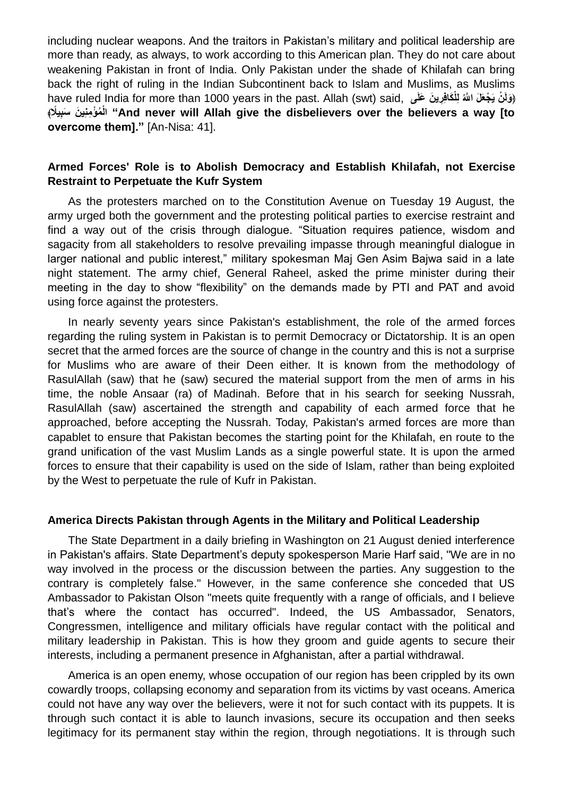including nuclear weapons. And the traitors in Pakistan's military and political leadership are more than ready, as always, to work according to this American plan. They do not care about weakening Pakistan in front of India. Only Pakistan under the shade of Khilafah can bring back the right of ruling in the Indian Subcontinent back to Islam and Muslims, as Muslims (وَلَنْ يَجْعَلَ اللَّهُ لِلْكَافِرِينَ عَلَى ,have ruled India for more than 1000 years in the past. Allah (swt) said **ِيًل ُم ْؤ ِمنِي َن َسب ْ ﴾ ال" And never will Allah give the disbelievers over the believers a way [to overcome them]."** [An-Nisa: 41].

## **Armed Forces' Role is to Abolish Democracy and Establish Khilafah, not Exercise Restraint to Perpetuate the Kufr System**

As the protesters marched on to the Constitution Avenue on Tuesday 19 August, the army urged both the government and the protesting political parties to exercise restraint and find a way out of the crisis through dialogue. "Situation requires patience, wisdom and sagacity from all stakeholders to resolve prevailing impasse through meaningful dialogue in larger national and public interest," military spokesman Maj Gen Asim Bajwa said in a late night statement. The army chief, General Raheel, asked the prime minister during their meeting in the day to show "flexibility" on the demands made by PTI and PAT and avoid using force against the protesters.

In nearly seventy years since Pakistan's establishment, the role of the armed forces regarding the ruling system in Pakistan is to permit Democracy or Dictatorship. It is an open secret that the armed forces are the source of change in the country and this is not a surprise for Muslims who are aware of their Deen either. It is known from the methodology of RasulAllah (saw) that he (saw) secured the material support from the men of arms in his time, the noble Ansaar (ra) of Madinah. Before that in his search for seeking Nussrah, RasulAllah (saw) ascertained the strength and capability of each armed force that he approached, before accepting the Nussrah. Today, Pakistan's armed forces are more than capablet to ensure that Pakistan becomes the starting point for the Khilafah, en route to the grand unification of the vast Muslim Lands as a single powerful state. It is upon the armed forces to ensure that their capability is used on the side of Islam, rather than being exploited by the West to perpetuate the rule of Kufr in Pakistan.

#### **America Directs Pakistan through Agents in the Military and Political Leadership**

The State Department in a daily briefing in Washington on 21 August denied interference in Pakistan's affairs. State Department's deputy spokesperson Marie Harf said, "We are in no way involved in the process or the discussion between the parties. Any suggestion to the contrary is completely false." However, in the same conference she conceded that US Ambassador to Pakistan Olson "meets quite frequently with a range of officials, and I believe that's where the contact has occurred". Indeed, the US Ambassador, Senators, Congressmen, intelligence and military officials have regular contact with the political and military leadership in Pakistan. This is how they groom and guide agents to secure their interests, including a permanent presence in Afghanistan, after a partial withdrawal.

America is an open enemy, whose occupation of our region has been crippled by its own cowardly troops, collapsing economy and separation from its victims by vast oceans. America could not have any way over the believers, were it not for such contact with its puppets. It is through such contact it is able to launch invasions, secure its occupation and then seeks legitimacy for its permanent stay within the region, through negotiations. It is through such